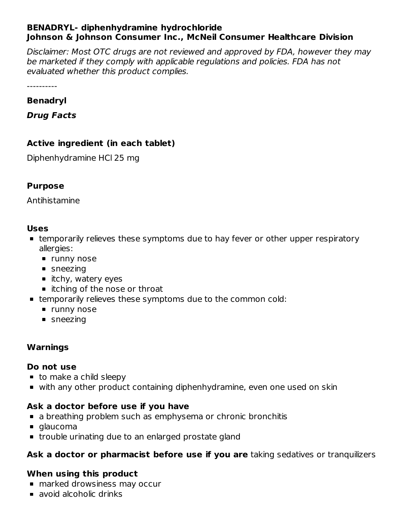#### **BENADRYL- diphenhydramine hydrochloride Johnson & Johnson Consumer Inc., McNeil Consumer Healthcare Division**

Disclaimer: Most OTC drugs are not reviewed and approved by FDA, however they may be marketed if they comply with applicable regulations and policies. FDA has not evaluated whether this product complies.

----------

#### **Benadryl**

**Drug Facts**

### **Active ingredient (in each tablet)**

Diphenhydramine HCl 25 mg

#### **Purpose**

Antihistamine

#### **Uses**

- temporarily relieves these symptoms due to hay fever or other upper respiratory allergies:
	- **runny nose**
	- **sneezing**
	- $\blacksquare$  itchy, watery eyes
	- itching of the nose or throat
- temporarily relieves these symptoms due to the common cold:
	- **runny nose**
	- sneezing

#### **Warnings**

#### **Do not use**

- to make a child sleepy
- with any other product containing diphenhydramine, even one used on skin

### **Ask a doctor before use if you have**

- **a** a breathing problem such as emphysema or chronic bronchitis
- glaucoma
- **trouble urinating due to an enlarged prostate gland**

## **Ask a doctor or pharmacist before use if you are** taking sedatives or tranquilizers

### **When using this product**

- marked drowsiness may occur
- **avoid alcoholic drinks**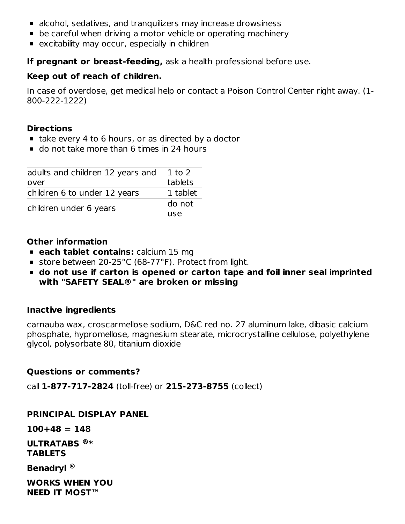- alcohol, sedatives, and tranquilizers may increase drowsiness
- be careful when driving a motor vehicle or operating machinery
- **EXCITED EXAMBLE 2018 IN EXAMBLE 10 FEATH** excitability may occur, especially in children

**If pregnant or breast-feeding,** ask a health professional before use.

### **Keep out of reach of children.**

In case of overdose, get medical help or contact a Poison Control Center right away. (1- 800-222-1222)

### **Directions**

- take every 4 to 6 hours, or as directed by a doctor
- do not take more than 6 times in 24 hours

| adults and children 12 years and<br>over | $ 1$ to 2<br>tablets |  |
|------------------------------------------|----------------------|--|
| children 6 to under 12 years             | 1 tablet             |  |
| children under 6 years                   | do not               |  |
|                                          | luse                 |  |

### **Other information**

- **each tablet contains:** calcium 15 mg
- store between 20-25°C (68-77°F). Protect from light.
- **do not use if carton is opened or carton tape and foil inner seal imprinted with "SAFETY SEAL®" are broken or missing**

### **Inactive ingredients**

carnauba wax, croscarmellose sodium, D&C red no. 27 aluminum lake, dibasic calcium phosphate, hypromellose, magnesium stearate, microcrystalline cellulose, polyethylene glycol, polysorbate 80, titanium dioxide

#### **Questions or comments?**

call **1-877-717-2824** (toll-free) or **215-273-8755** (collect)

#### **PRINCIPAL DISPLAY PANEL**

**100+48 = 148**

**ULTRATABS \* ® TABLETS**

**Benadryl ®**

**WORKS WHEN YOU NEED IT MOST™**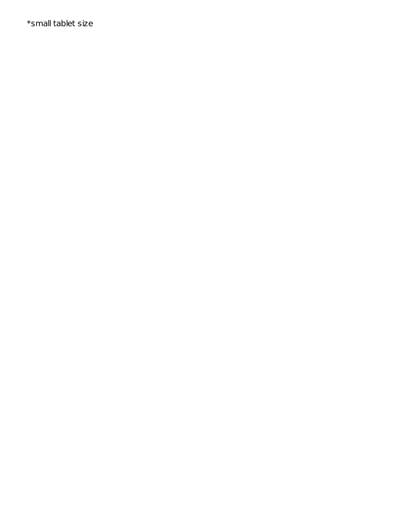\*small tablet size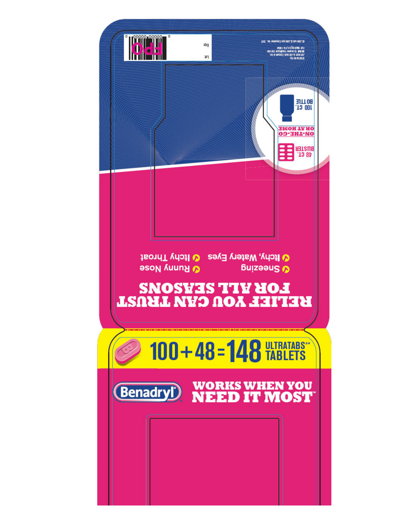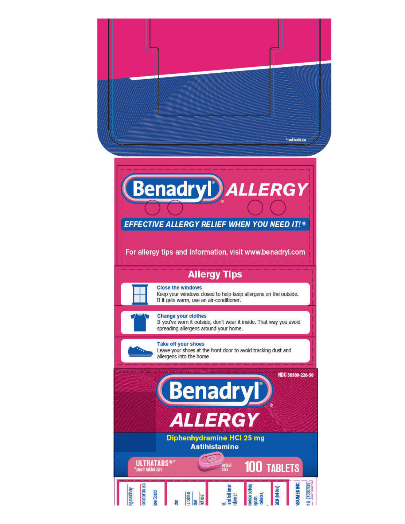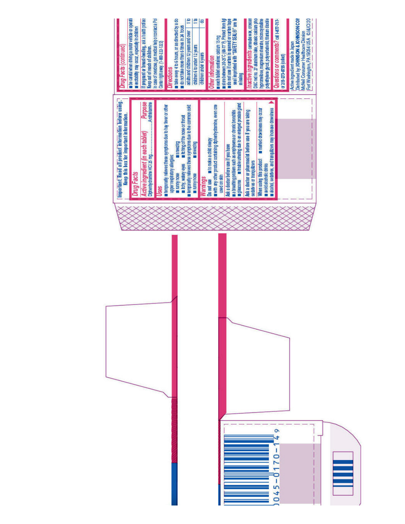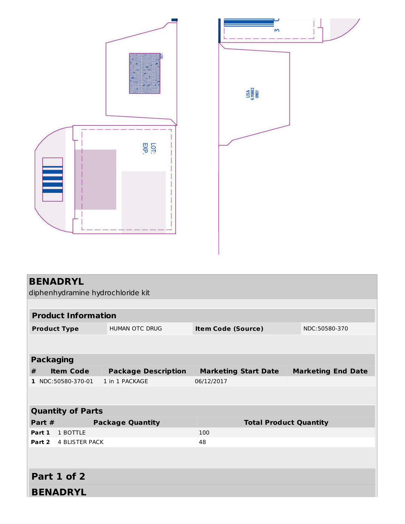



| <b>BENADRYL</b>          |                                   |                            |                               |  |                           |  |
|--------------------------|-----------------------------------|----------------------------|-------------------------------|--|---------------------------|--|
|                          | diphenhydramine hydrochloride kit |                            |                               |  |                           |  |
|                          |                                   |                            |                               |  |                           |  |
|                          | <b>Product Information</b>        |                            |                               |  |                           |  |
| <b>Product Type</b>      |                                   | <b>HUMAN OTC DRUG</b>      | <b>Item Code (Source)</b>     |  | NDC:50580-370             |  |
|                          |                                   |                            |                               |  |                           |  |
|                          |                                   |                            |                               |  |                           |  |
| <b>Packaging</b>         |                                   |                            |                               |  |                           |  |
| #                        | <b>Item Code</b>                  | <b>Package Description</b> | <b>Marketing Start Date</b>   |  | <b>Marketing End Date</b> |  |
|                          | 1 NDC:50580-370-01                | 1 in 1 PACKAGE             | 06/12/2017                    |  |                           |  |
|                          |                                   |                            |                               |  |                           |  |
|                          |                                   |                            |                               |  |                           |  |
| <b>Quantity of Parts</b> |                                   |                            |                               |  |                           |  |
| Part $#$                 |                                   | <b>Package Quantity</b>    | <b>Total Product Quantity</b> |  |                           |  |
| Part 1                   | 1 BOTTLE                          |                            | 100                           |  |                           |  |
| Part 2                   | <b>4 BLISTER PACK</b>             |                            | 48                            |  |                           |  |
|                          |                                   |                            |                               |  |                           |  |
|                          |                                   |                            |                               |  |                           |  |
| Part 1 of 2              |                                   |                            |                               |  |                           |  |
|                          | <b>BENADRYL</b>                   |                            |                               |  |                           |  |
|                          |                                   |                            |                               |  |                           |  |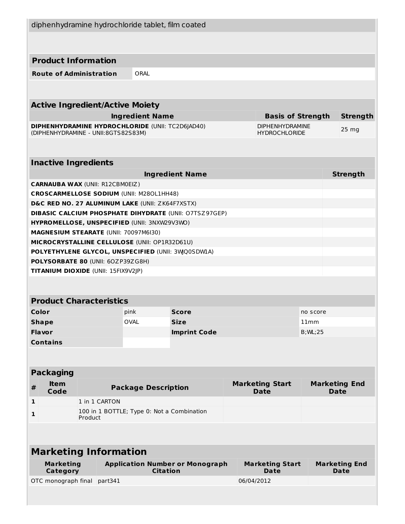| diphenhydramine hydrochloride tablet, film coated                                     |         |               |                                            |                                                               |  |                                       |                  |                                     |
|---------------------------------------------------------------------------------------|---------|---------------|--------------------------------------------|---------------------------------------------------------------|--|---------------------------------------|------------------|-------------------------------------|
|                                                                                       |         |               |                                            |                                                               |  |                                       |                  |                                     |
| <b>Product Information</b>                                                            |         |               |                                            |                                                               |  |                                       |                  |                                     |
| <b>Route of Administration</b>                                                        |         |               | ORAL                                       |                                                               |  |                                       |                  |                                     |
|                                                                                       |         |               |                                            |                                                               |  |                                       |                  |                                     |
| <b>Active Ingredient/Active Moiety</b>                                                |         |               |                                            |                                                               |  |                                       |                  |                                     |
|                                                                                       |         |               | <b>Ingredient Name</b>                     |                                                               |  | <b>Basis of Strength</b>              |                  | <b>Strength</b>                     |
| <b>DIPHENHYDRAMINE HYDROCHLORIDE (UNII: TC2D6JAD40)</b>                               |         |               |                                            |                                                               |  | <b>DIPHENHYDRAMINE</b>                |                  | $25 \, mg$                          |
| (DIPHENHYDRAMINE - UNII:8GTS82S83M)                                                   |         |               |                                            |                                                               |  | <b>HYDROCHLORIDE</b>                  |                  |                                     |
| <b>Inactive Ingredients</b>                                                           |         |               |                                            |                                                               |  |                                       |                  |                                     |
|                                                                                       |         |               |                                            | <b>Ingredient Name</b>                                        |  |                                       |                  | <b>Strength</b>                     |
| <b>CARNAUBA WAX (UNII: R12CBM0EIZ)</b>                                                |         |               |                                            |                                                               |  |                                       |                  |                                     |
| <b>CROSCARMELLOSE SODIUM (UNII: M280L1HH48)</b>                                       |         |               |                                            |                                                               |  |                                       |                  |                                     |
| D&C RED NO. 27 ALUMINUM LAKE (UNII: ZK64F7XSTX)                                       |         |               |                                            |                                                               |  |                                       |                  |                                     |
|                                                                                       |         |               |                                            | <b>DIBASIC CALCIUM PHOSPHATE DIHYDRATE (UNII: O7TSZ97GEP)</b> |  |                                       |                  |                                     |
| HYPROMELLOSE, UNSPECIFIED (UNII: 3NXW29V3WO)<br>MAGNESIUM STEARATE (UNII: 70097M6I30) |         |               |                                            |                                                               |  |                                       |                  |                                     |
| MICROCRYSTALLINE CELLULOSE (UNII: OP1R32D61U)                                         |         |               |                                            |                                                               |  |                                       |                  |                                     |
| POLYETHYLENE GLYCOL, UNSPECIFIED (UNII: 3WQ0SDWIA)                                    |         |               |                                            |                                                               |  |                                       |                  |                                     |
| POLYSORBATE 80 (UNII: 60ZP39ZG8H)                                                     |         |               |                                            |                                                               |  |                                       |                  |                                     |
| TITANIUM DIOXIDE (UNII: 15FIX9V2JP)                                                   |         |               |                                            |                                                               |  |                                       |                  |                                     |
|                                                                                       |         |               |                                            |                                                               |  |                                       |                  |                                     |
| <b>Product Characteristics</b>                                                        |         |               |                                            |                                                               |  |                                       |                  |                                     |
|                                                                                       |         |               |                                            |                                                               |  |                                       |                  |                                     |
| Color                                                                                 |         |               | pink<br><b>OVAL</b>                        | Score                                                         |  |                                       | no score<br>11mm |                                     |
| <b>Shape</b><br><b>Flavor</b>                                                         |         |               |                                            | <b>Size</b><br><b>Imprint Code</b>                            |  |                                       | $B;$ ML;25       |                                     |
| <b>Contains</b>                                                                       |         |               |                                            |                                                               |  |                                       |                  |                                     |
|                                                                                       |         |               |                                            |                                                               |  |                                       |                  |                                     |
|                                                                                       |         |               |                                            |                                                               |  |                                       |                  |                                     |
| <b>Packaging</b>                                                                      |         |               |                                            |                                                               |  |                                       |                  |                                     |
| <b>Item</b><br>$\pmb{\#}$<br>Code                                                     |         |               | <b>Package Description</b>                 |                                                               |  | <b>Marketing Start</b><br><b>Date</b> |                  | <b>Marketing End</b><br><b>Date</b> |
| $\mathbf{1}$                                                                          |         | 1 in 1 CARTON |                                            |                                                               |  |                                       |                  |                                     |
| 1                                                                                     | Product |               | 100 in 1 BOTTLE; Type 0: Not a Combination |                                                               |  |                                       |                  |                                     |
|                                                                                       |         |               |                                            |                                                               |  |                                       |                  |                                     |
| <b>Marketing Information</b>                                                          |         |               |                                            |                                                               |  |                                       |                  |                                     |
|                                                                                       |         |               |                                            |                                                               |  |                                       |                  |                                     |
| <b>Marketing</b>                                                                      |         |               |                                            | <b>Application Number or Monograph</b>                        |  | <b>Marketing Start</b>                |                  | <b>Marketing End</b>                |
| Category<br>OTC monograph final part341                                               |         |               | <b>Citation</b>                            |                                                               |  | Date<br>06/04/2012                    |                  | <b>Date</b>                         |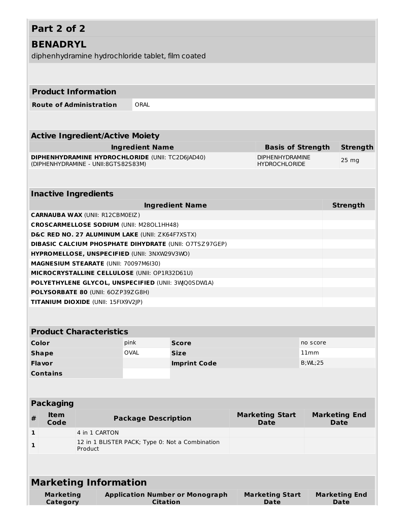### **Part 2 of 2 BENADRYL** diphenhydramine hydrochloride tablet, film coated **Product Information Route of Administration** ORAL **Active Ingredient/Active Moiety Ingredient Name Basis of Strength Strength DIPHENHYDRAMINE HYDROCHLORIDE** (UNII: TC2D6JAD40) (DIPHENHYDRAMINE - UNII:8GTS82S83M) DIPHENHYDRAMINE HYDROCHLORIDE 25 mg **Inactive Ingredients Ingredient Name Strength CARNAUBA WAX** (UNII: R12CBM0EIZ) **CROSCARMELLOSE SODIUM** (UNII: M28OL1HH48) **D&C RED NO. 27 ALUMINUM LAKE** (UNII: ZK64F7XSTX) **DIBASIC CALCIUM PHOSPHATE DIHYDRATE** (UNII: O7TSZ97GEP) **HYPROMELLOSE, UNSPECIFIED** (UNII: 3NXW29V3WO) **MAGNESIUM STEARATE** (UNII: 70097M6I30) **MICROCRYSTALLINE CELLULOSE** (UNII: OP1R32D61U) **POLYETHYLENE GLYCOL, UNSPECIFIED** (UNII: 3WQ0SDW1A) **POLYSORBATE 80** (UNII: 6OZP39ZG8H) **TITANIUM DIOXIDE** (UNII: 15FIX9V2JP) **Product Characteristics Color Color Pink Score Score Pink Score Pink Score Pink Pink Pink Pink Pink Pink Pink Shape** OVAL **Size** 11mm **Flavor Imprint Code** B;WL;25 **Contains Packaging # Item Code Package Description Marketing Start Date Marketing End Date 1** 4 in 1 CARTON **1** 12 in 1 BLISTER PACK; Type 0: Not a Combination

**Marketing Information**

Product

| <b>Marketing</b><br>Category | <b>Application Number or Monograph</b><br>Citation | <b>Marketing Start</b><br>Date | <b>Marketing End</b><br>Date |
|------------------------------|----------------------------------------------------|--------------------------------|------------------------------|
|                              |                                                    |                                |                              |